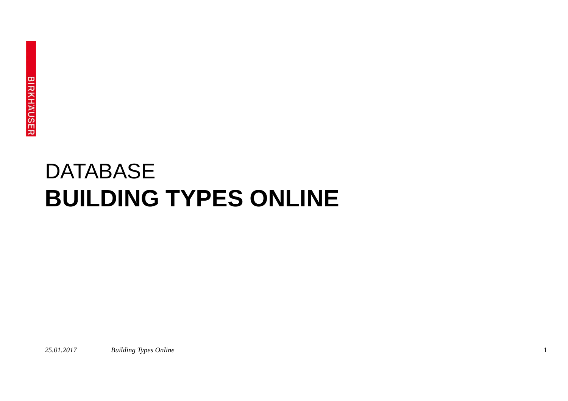# **BUILDING TYPES ONLINE** DATABASE

*25.01.2017 Building Types Online* 1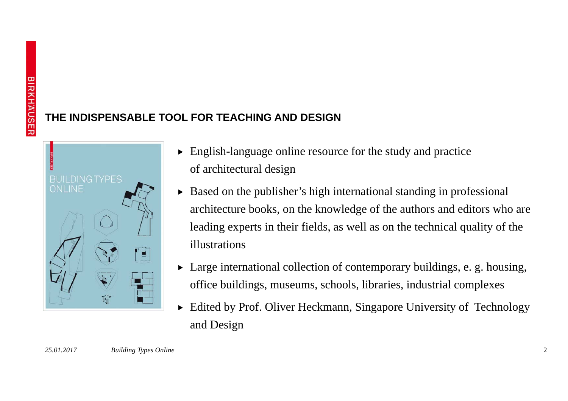# **THE INDISPENSABLE TOOL FOR TEACHING AND DESIGN**



- $\blacktriangleright$  English-language online resource for the study and practice of architectural design
- $\triangleright$  Based on the publisher's high international standing in professional architecture books, on the knowledge of the authors and editors who are leading experts in their fields, as well as on the technical quality of the illustrations
- $\blacktriangleright$  Large international collection of contemporary buildings, e. g. housing, office buildings, museums, schools, libraries, industrial complexes
- $\blacktriangleright$  Edited by Prof. Oliver Heckmann, Singapore University of Technology and Design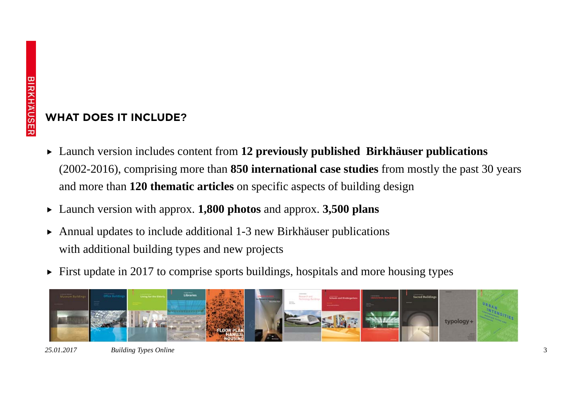#### **WHAT DOES IT INCLUDE?**

- **F** Launch version includes content from 12 previously published Birkhäuser publications (2002-2016), comprising more than **850 international case studies** from mostly the past 30 years and more than **120 thematic articles** on specific aspects of building design
- f Launch version with approx. **1,800 photos** and approx. **3,500 plans**
- $\blacktriangleright$  Annual updates to include additional 1-3 new Birkhäuser publications with additional building types and new projects
- $\blacktriangleright$  First update in 2017 to comprise sports buildings, hospitals and more housing types

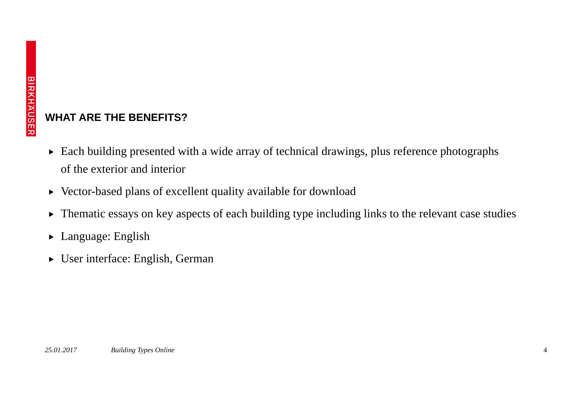#### **WHAT ARE THE BENEFITS?**

- $\blacktriangleright$  Each building presented with a wide array of technical drawings, plus reference photographs of the exterior and interior
- $\triangleright$  Vector-based plans of excellent quality available for download
- $\blacktriangleright$ Thematic essays on key aspects of each building type including links to the relevant case studies
- $\blacktriangleright$  Language: English
- User interface: English, German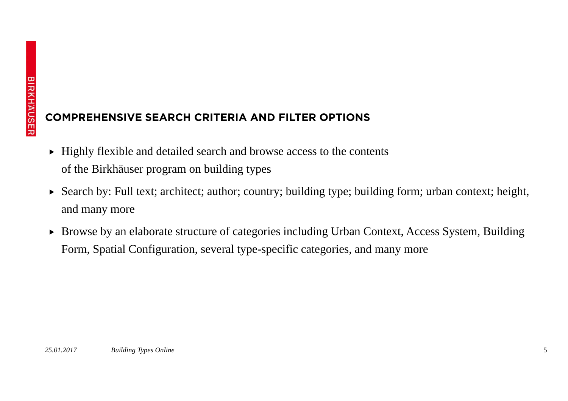## **COMPREHENSIVE SEARCH CRITERIA AND FILTER OPTIONS**

- $\blacktriangleright$  Highly flexible and detailed search and browse access to the contents of the Birkhäuser program on building types
- Search by: Full text; architect; author; country; building type; building form; urban context; height, and many more
- Browse by an elaborate structure of categories including Urban Context, Access System, Building Form, Spatial Configuration, several type-specific categories, and many more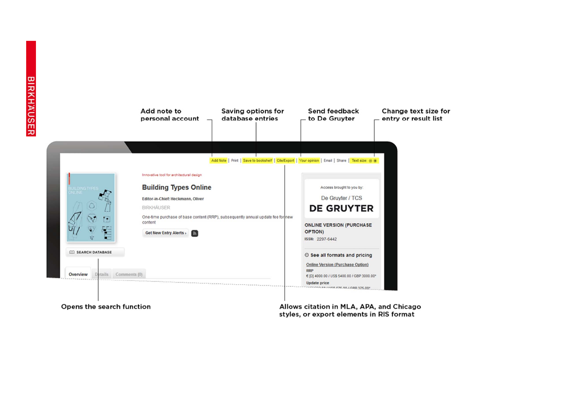

Opens the search function

Allows citation in MLA, APA, and Chicago styles, or export elements in RIS format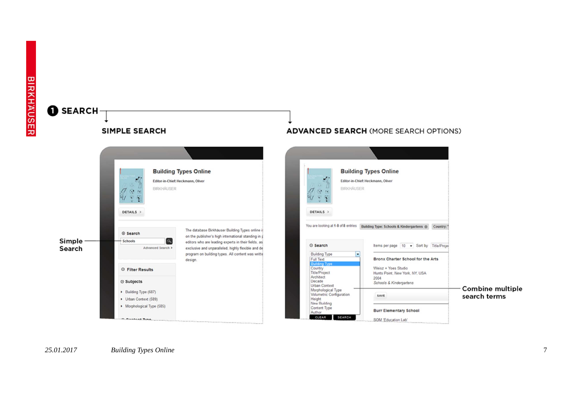

#### *25.01.2017Building Types Online* 7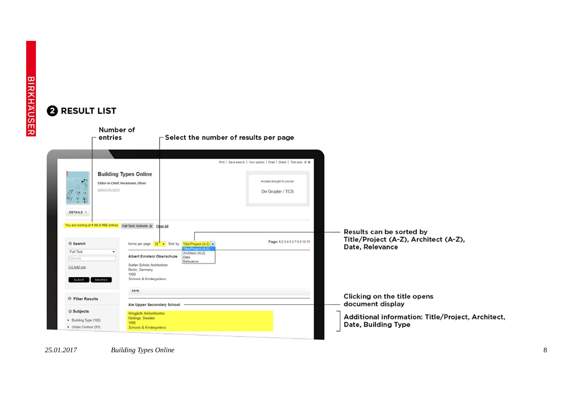# **2 RESULT LIST**



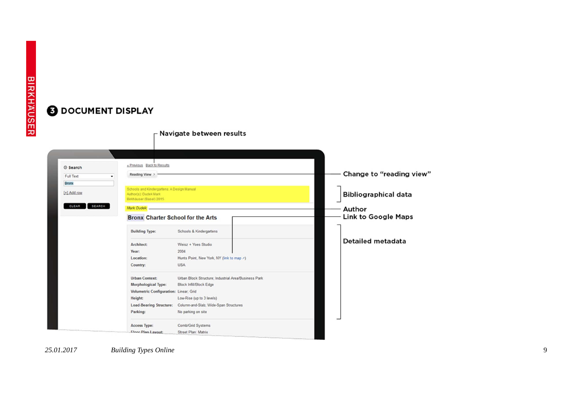# **ODOCUMENT DISPLAY**

| ◎ Search        | « Previous Back to Results                                                                     |                                                      |                             |
|-----------------|------------------------------------------------------------------------------------------------|------------------------------------------------------|-----------------------------|
| Full Text       | Reading View >                                                                                 |                                                      | Change to "reading view"    |
| Bronx           |                                                                                                |                                                      |                             |
| [+] Add row     | Schools and Kindergartens: A Design Manual<br>Author(s): Dudek Mark<br>Birkhäuser (Basel) 2015 |                                                      | <b>Bibliographical data</b> |
| SEARCH<br>CLEAR | Mark Dudek                                                                                     |                                                      | Author                      |
|                 | <b>Bronx Charter School for the Arts</b>                                                       |                                                      | <b>Link to Google Maps</b>  |
|                 | <b>Building Type:</b>                                                                          | Schools & Kindergartens                              |                             |
|                 | Architect:                                                                                     | Weisz + Yoes Studio                                  | Detailed metadata           |
|                 | Year:                                                                                          | 2004                                                 |                             |
|                 | Location:                                                                                      | Hunts Point, New York, NY (link to map >)            |                             |
|                 | Country:                                                                                       | <b>USA</b>                                           |                             |
|                 | <b>Urban Context:</b>                                                                          | Urban Block Structure: Industrial Area/Business Park |                             |
|                 | Morphological Type:                                                                            | Block Infill/Block Edge                              |                             |
|                 | Volumetric Configuration: Linear; Grid                                                         |                                                      |                             |
|                 | Height:                                                                                        | Low-Rise (up to 3 levels)                            |                             |
|                 | <b>Load-Bearing Structure:</b>                                                                 | Column-and-Slab; Wide-Span Structures                |                             |
|                 | Parking:                                                                                       | No parking on site                                   |                             |
|                 | Access Type:                                                                                   | Comb/Grid Systems                                    |                             |
|                 |                                                                                                | Street Plan: Matrix                                  |                             |

 $\Gamma$  Navigate between results

*25.01.2017Building Types Online* 9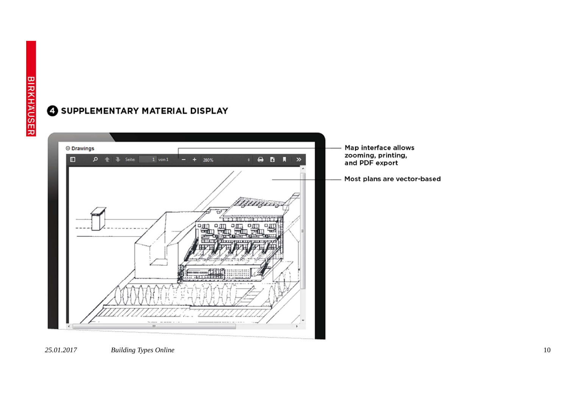

#### SUPPLEMENTARY MATERIAL DISPLAY

*25.01.2017Building Types Online* 10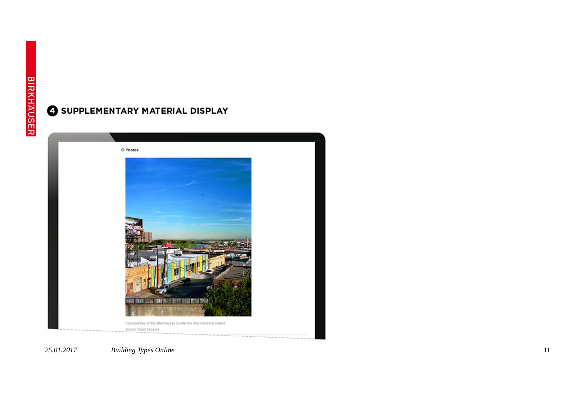### SUPPLEMENTARY MATERIAL DISPLAY



*25.01.2017Building Types Online* 11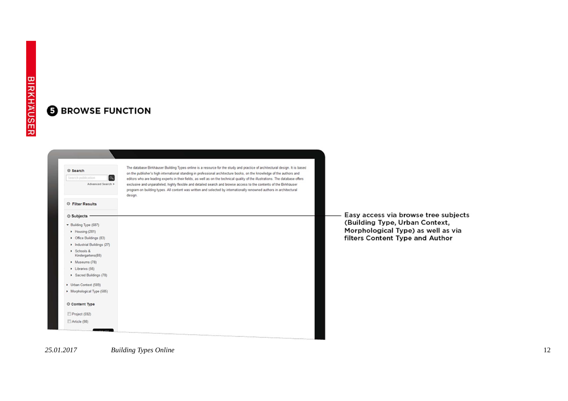#### **6 BROWSE FUNCTION**

 $\alpha$ Advanced Search > **O** Filter Results  $\odot$  Subjects Building Type (687) Housing (281) • Office Buildings (83) Industrial Buildings (27) > Schools & Kindergartens(88) • Museums (78) • Libraries (56)

© Search

Search publica

- Urban Context (589)
- Article (98)

The database Birkhäuser Building Types online is a resource for the study and practice of architectural design. It is based on the publisher's high international standing in professional architecture books, on the knowledge of the authors and editors who are leading experts in their fields, as well as on the technical quality of the illustrations. The database offers exclusive and unparalleled, highly flexible and detailed search and browse access to the contents of the Birkhäuser program on building types. All content was written and selected by internationally renowned authors in architectural design.



Easy access via browse tree subjects (Building Type, Urban Context, Morphological Type) as well as via filters Content Type and Author

*25.01.2017*